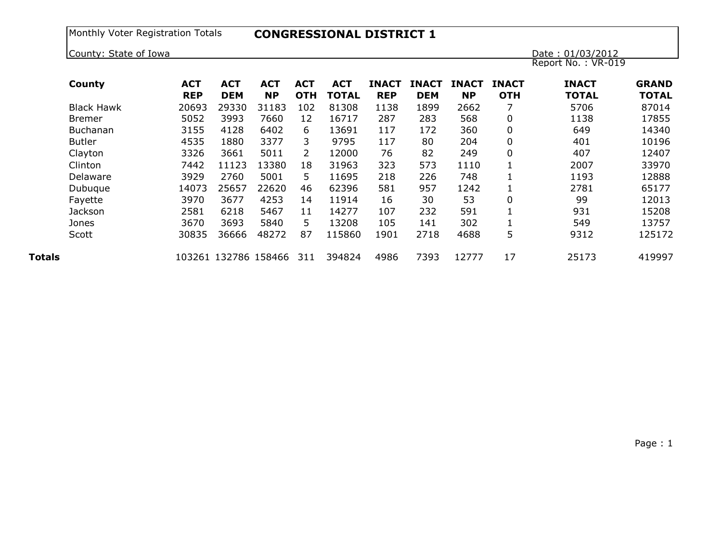| County: State of Iowa |            |            |                      |                       |              |              |              |              |              | Date: 01/03/2012   |              |
|-----------------------|------------|------------|----------------------|-----------------------|--------------|--------------|--------------|--------------|--------------|--------------------|--------------|
|                       |            |            |                      |                       |              |              |              |              |              | Report No.: VR-019 |              |
| County                | <b>ACT</b> | <b>ACT</b> | <b>ACT</b>           | <b>ACT</b>            | <b>ACT</b>   | <b>INACT</b> | <b>INACT</b> | <b>INACT</b> | <b>INACT</b> | <b>INACT</b>       | <b>GRAND</b> |
|                       | <b>REP</b> | <b>DEM</b> | <b>NP</b>            | <b>OTH</b>            | <b>TOTAL</b> | <b>REP</b>   | <b>DEM</b>   | <b>NP</b>    | <b>OTH</b>   | <b>TOTAL</b>       | <b>TOTAL</b> |
| <b>Black Hawk</b>     | 20693      | 29330      | 31183                | 102                   | 81308        | 1138         | 1899         | 2662         |              | 5706               | 87014        |
| <b>Bremer</b>         | 5052       | 3993       | 7660                 | 12                    | 16717        | 287          | 283          | 568          | $\mathbf 0$  | 1138               | 17855        |
| <b>Buchanan</b>       | 3155       | 4128       | 6402                 | 6                     | 13691        | 117          | 172          | 360          | $\mathbf 0$  | 649                | 14340        |
| <b>Butler</b>         | 4535       | 1880       | 3377                 | 3                     | 9795         | 117          | 80           | 204          | $\mathbf 0$  | 401                | 10196        |
| Clayton               | 3326       | 3661       | 5011                 | $\mathbf{2}^{\prime}$ | 12000        | 76           | 82           | 249          | $\mathbf 0$  | 407                | 12407        |
| Clinton               | 7442       | 11123      | 13380                | 18                    | 31963        | 323          | 573          | 1110         |              | 2007               | 33970        |
| Delaware              | 3929       | 2760       | 5001                 | 5                     | 11695        | 218          | 226          | 748          |              | 1193               | 12888        |
| Dubuque               | 14073      | 25657      | 22620                | 46                    | 62396        | 581          | 957          | 1242         |              | 2781               | 65177        |
| Fayette               | 3970       | 3677       | 4253                 | 14                    | 11914        | 16           | 30           | 53           | 0            | 99                 | 12013        |
| Jackson               | 2581       | 6218       | 5467                 | 11                    | 14277        | 107          | 232          | 591          |              | 931                | 15208        |
| Jones                 | 3670       | 3693       | 5840                 | 5.                    | 13208        | 105          | 141          | 302          |              | 549                | 13757        |
| Scott                 | 30835      | 36666      | 48272                | 87                    | 115860       | 1901         | 2718         | 4688         | 5            | 9312               | 125172       |
|                       |            |            | 103261 132786 158466 | 311                   | 394824       | 4986         | 7393         | 12777        | 17           | 25173              | 419997       |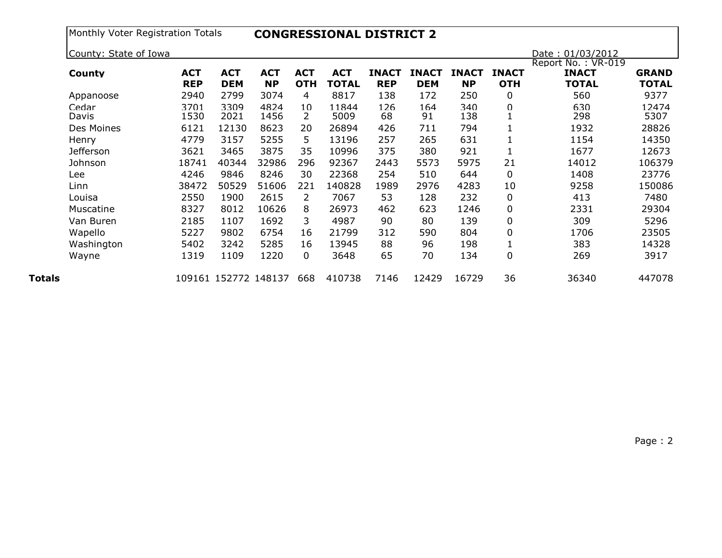| Monthly Voter Registration Totals |  |  |  |
|-----------------------------------|--|--|--|
|-----------------------------------|--|--|--|

Monthly Voter Registration Totals **CONGRESSIONAL DISTRICT 2**

| County: State of Iowa |                          |                          |                         |                          |                            |                            |                            |                           |                            | Date: 01/03/2012                                   |                              |
|-----------------------|--------------------------|--------------------------|-------------------------|--------------------------|----------------------------|----------------------------|----------------------------|---------------------------|----------------------------|----------------------------------------------------|------------------------------|
| County                | <b>ACT</b><br><b>REP</b> | <b>ACT</b><br><b>DEM</b> | <b>ACT</b><br><b>NP</b> | <b>ACT</b><br><b>OTH</b> | <b>ACT</b><br><b>TOTAL</b> | <b>INACT</b><br><b>REP</b> | <b>INACT</b><br><b>DEM</b> | <b>INACT</b><br><b>NP</b> | <b>INACT</b><br><b>OTH</b> | Report No.: VR-019<br><b>INACT</b><br><b>TOTAL</b> | <b>GRAND</b><br><b>TOTAL</b> |
| Appanoose             | 2940                     | 2799                     | 3074                    | 4                        | 8817                       | 138                        | 172                        | 250                       | 0                          | 560                                                | 9377                         |
| Cedar<br>Davis        | 3701<br>1530             | 3309<br>2021             | 4824<br>1456            | 10<br>2                  | 11844<br>5009              | 126<br>68                  | 164<br>91                  | 340<br>138                | $\Omega$                   | 630<br>298                                         | 12474<br>5307                |
| Des Moines            | 6121                     | 12130                    | 8623                    | 20                       | 26894                      | 426                        | 711                        | 794                       |                            | 1932                                               | 28826                        |
| Henry                 | 4779                     | 3157                     | 5255                    | 5.                       | 13196                      | 257                        | 265                        | 631                       |                            | 1154                                               | 14350                        |
| <b>Jefferson</b>      | 3621                     | 3465                     | 3875                    | 35                       | 10996                      | 375                        | 380                        | 921                       |                            | 1677                                               | 12673                        |
| Johnson               | 18741                    | 40344                    | 32986                   | 296                      | 92367                      | 2443                       | 5573                       | 5975                      | 21                         | 14012                                              | 106379                       |
| Lee                   | 4246                     | 9846                     | 8246                    | 30                       | 22368                      | 254                        | 510                        | 644                       | 0                          | 1408                                               | 23776                        |
| Linn                  | 38472                    | 50529                    | 51606                   | 221                      | 140828                     | 1989                       | 2976                       | 4283                      | 10                         | 9258                                               | 150086                       |
| Louisa                | 2550                     | 1900                     | 2615                    | 2                        | 7067                       | 53                         | 128                        | 232                       | $\mathbf 0$                | 413                                                | 7480                         |
| Muscatine             | 8327                     | 8012                     | 10626                   | 8                        | 26973                      | 462                        | 623                        | 1246                      | $\mathbf 0$                | 2331                                               | 29304                        |
| Van Buren             | 2185                     | 1107                     | 1692                    | 3                        | 4987                       | 90                         | 80                         | 139                       | $\mathbf 0$                | 309                                                | 5296                         |
| Wapello               | 5227                     | 9802                     | 6754                    | 16                       | 21799                      | 312                        | 590                        | 804                       | 0                          | 1706                                               | 23505                        |
| Washington            | 5402                     | 3242                     | 5285                    | 16                       | 13945                      | 88                         | 96                         | 198                       |                            | 383                                                | 14328                        |
| Wayne                 | 1319                     | 1109                     | 1220                    | 0                        | 3648                       | 65                         | 70                         | 134                       | $\mathbf 0$                | 269                                                | 3917                         |
|                       |                          | 109161 152772 148137     |                         | 668                      | 410738                     | 7146                       | 12429                      | 16729                     | 36                         | 36340                                              | 447078                       |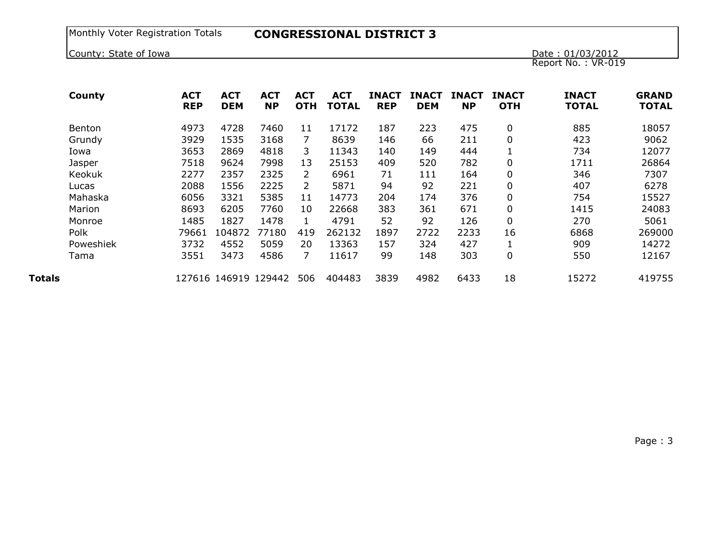## Monthly Voter Registration Totals **CONGRESSIONAL DISTRICT 3**

County: State of Iowa

Date: 01/03/2012<br>Report No.: VR-019

|        | County    | <b>ACT</b><br><b>REP</b> | <b>ACT</b><br><b>DEM</b> | <b>ACT</b><br><b>NP</b> | <b>ACT</b><br><b>OTH</b> | <b>ACT</b><br><b>TOTAL</b> | <b>INACT</b><br><b>REP</b> | INACT<br><b>DEM</b> | <b>INACT</b><br><b>NP</b> | <b>INACT</b><br><b>OTH</b> | <b>INACT</b><br><b>TOTAL</b> | <b>GRAND</b><br><b>TOTAL</b> |
|--------|-----------|--------------------------|--------------------------|-------------------------|--------------------------|----------------------------|----------------------------|---------------------|---------------------------|----------------------------|------------------------------|------------------------------|
|        | Benton    | 4973                     | 4728                     | 7460                    | 11                       | 17172                      | 187                        | 223                 | 475                       | 0                          | 885                          | 18057                        |
|        | Grundy    | 3929                     | 1535                     | 3168                    | 7                        | 8639                       | 146                        | 66                  | 211                       | 0                          | 423                          | 9062                         |
|        | Iowa      | 3653                     | 2869                     | 4818                    | 3.                       | 11343                      | 140                        | 149                 | 444                       |                            | 734                          | 12077                        |
|        | Jasper    | 7518                     | 9624                     | 7998                    | 13                       | 25153                      | 409                        | 520                 | 782                       | 0                          | 1711                         | 26864                        |
|        | Keokuk    | 2277                     | 2357                     | 2325                    | $\overline{2}$           | 6961                       | 71                         | 111                 | 164                       | 0                          | 346                          | 7307                         |
|        | Lucas     | 2088                     | 1556                     | 2225                    | $\overline{2}$           | 5871                       | 94                         | 92                  | 221                       | 0                          | 407                          | 6278                         |
|        | Mahaska   | 6056                     | 3321                     | 5385                    | 11                       | 14773                      | 204                        | 174                 | 376                       | 0                          | 754                          | 15527                        |
|        | Marion    | 8693                     | 6205                     | 7760                    | 10                       | 22668                      | 383                        | 361                 | 671                       | 0                          | 1415                         | 24083                        |
|        | Monroe    | 1485                     | 1827                     | 1478                    |                          | 4791                       | 52                         | 92                  | 126                       | 0                          | 270                          | 5061                         |
|        | Polk      | 79661                    | 104872                   | 77180                   | 419                      | 262132                     | 1897                       | 2722                | 2233                      | 16                         | 6868                         | 269000                       |
|        | Poweshiek | 3732                     | 4552                     | 5059                    | 20                       | 13363                      | 157                        | 324                 | 427                       |                            | 909                          | 14272                        |
|        | Tama      | 3551                     | 3473                     | 4586                    | 7                        | 11617                      | 99                         | 148                 | 303                       | 0                          | 550                          | 12167                        |
| Totals |           |                          | 127616 146919 129442     |                         | 506                      | 404483                     | 3839                       | 4982                | 6433                      | 18                         | 15272                        | 419755                       |

Page : 3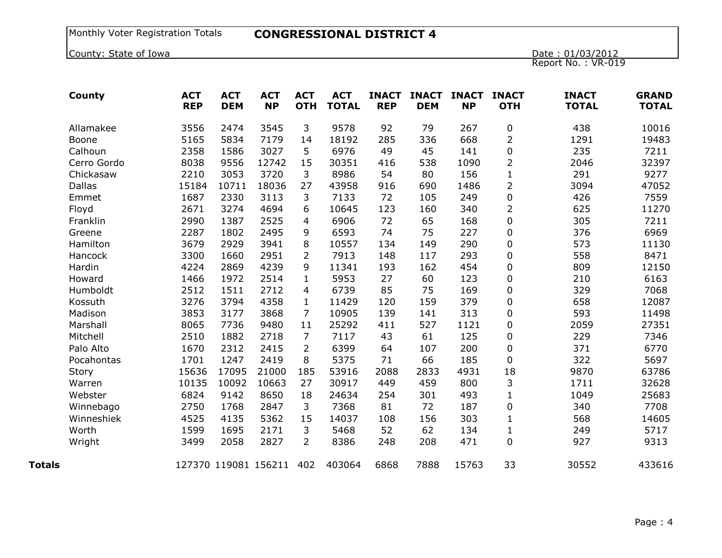## Monthly Voter Registration Totals **CONGRESSIONAL DISTRICT 4**

County: State of Iowa

Date: 01/03/2012<br>Report No.: VR-019

|        | County        | <b>ACT</b><br><b>REP</b> | <b>ACT</b><br><b>DEM</b> | <b>ACT</b><br><b>NP</b> | <b>ACT</b><br><b>OTH</b> | <b>ACT</b><br><b>TOTAL</b> | <b>INACT</b><br><b>REP</b> | <b>INACT</b><br><b>DEM</b> | <b>INACT</b><br><b>NP</b> | <b>INACT</b><br><b>OTH</b> | <b>INACT</b><br><b>TOTAL</b> | <b>GRAND</b><br><b>TOTAL</b> |
|--------|---------------|--------------------------|--------------------------|-------------------------|--------------------------|----------------------------|----------------------------|----------------------------|---------------------------|----------------------------|------------------------------|------------------------------|
|        | Allamakee     | 3556                     | 2474                     | 3545                    | 3                        | 9578                       | 92                         | 79                         | 267                       | $\pmb{0}$                  | 438                          | 10016                        |
|        | Boone         | 5165                     | 5834                     | 7179                    | 14                       | 18192                      | 285                        | 336                        | 668                       | $\overline{2}$             | 1291                         | 19483                        |
|        | Calhoun       | 2358                     | 1586                     | 3027                    | 5                        | 6976                       | 49                         | 45                         | 141                       | $\mathbf 0$                | 235                          | 7211                         |
|        | Cerro Gordo   | 8038                     | 9556                     | 12742                   | 15                       | 30351                      | 416                        | 538                        | 1090                      | $\overline{2}$             | 2046                         | 32397                        |
|        | Chickasaw     | 2210                     | 3053                     | 3720                    | 3                        | 8986                       | 54                         | 80                         | 156                       | $\mathbf{1}$               | 291                          | 9277                         |
|        | <b>Dallas</b> | 15184                    | 10711                    | 18036                   | 27                       | 43958                      | 916                        | 690                        | 1486                      | $\overline{2}$             | 3094                         | 47052                        |
|        | Emmet         | 1687                     | 2330                     | 3113                    | 3                        | 7133                       | 72                         | 105                        | 249                       | $\mathbf 0$                | 426                          | 7559                         |
|        | Floyd         | 2671                     | 3274                     | 4694                    | 6                        | 10645                      | 123                        | 160                        | 340                       | $\overline{2}$             | 625                          | 11270                        |
|        | Franklin      | 2990                     | 1387                     | 2525                    | 4                        | 6906                       | 72                         | 65                         | 168                       | 0                          | 305                          | 7211                         |
|        | Greene        | 2287                     | 1802                     | 2495                    | 9                        | 6593                       | 74                         | 75                         | 227                       | 0                          | 376                          | 6969                         |
|        | Hamilton      | 3679                     | 2929                     | 3941                    | 8                        | 10557                      | 134                        | 149                        | 290                       | 0                          | 573                          | 11130                        |
|        | Hancock       | 3300                     | 1660                     | 2951                    | $\overline{2}$           | 7913                       | 148                        | 117                        | 293                       | 0                          | 558                          | 8471                         |
|        | Hardin        | 4224                     | 2869                     | 4239                    | 9                        | 11341                      | 193                        | 162                        | 454                       | 0                          | 809                          | 12150                        |
|        | Howard        | 1466                     | 1972                     | 2514                    | $\mathbf{1}$             | 5953                       | 27                         | 60                         | 123                       | 0                          | 210                          | 6163                         |
|        | Humboldt      | 2512                     | 1511                     | 2712                    | 4                        | 6739                       | 85                         | 75                         | 169                       | 0                          | 329                          | 7068                         |
|        | Kossuth       | 3276                     | 3794                     | 4358                    | 1                        | 11429                      | 120                        | 159                        | 379                       | 0                          | 658                          | 12087                        |
|        | Madison       | 3853                     | 3177                     | 3868                    | 7                        | 10905                      | 139                        | 141                        | 313                       | 0                          | 593                          | 11498                        |
|        | Marshall      | 8065                     | 7736                     | 9480                    | 11                       | 25292                      | 411                        | 527                        | 1121                      | $\boldsymbol{0}$           | 2059                         | 27351                        |
|        | Mitchell      | 2510                     | 1882                     | 2718                    | $\overline{7}$           | 7117                       | 43                         | 61                         | 125                       | 0                          | 229                          | 7346                         |
|        | Palo Alto     | 1670                     | 2312                     | 2415                    | $\overline{2}$           | 6399                       | 64                         | 107                        | 200                       | $\mathbf 0$                | 371                          | 6770                         |
|        | Pocahontas    | 1701                     | 1247                     | 2419                    | 8                        | 5375                       | 71                         | 66                         | 185                       | $\mathbf 0$                | 322                          | 5697                         |
|        | Story         | 15636                    | 17095                    | 21000                   | 185                      | 53916                      | 2088                       | 2833                       | 4931                      | 18                         | 9870                         | 63786                        |
|        | Warren        | 10135                    | 10092                    | 10663                   | 27                       | 30917                      | 449                        | 459                        | 800                       | 3                          | 1711                         | 32628                        |
|        | Webster       | 6824                     | 9142                     | 8650                    | 18                       | 24634                      | 254                        | 301                        | 493                       | $\mathbf{1}$               | 1049                         | 25683                        |
|        | Winnebago     | 2750                     | 1768                     | 2847                    | 3                        | 7368                       | 81                         | 72                         | 187                       | 0                          | 340                          | 7708                         |
|        | Winneshiek    | 4525                     | 4135                     | 5362                    | 15                       | 14037                      | 108                        | 156                        | 303                       | $\mathbf{1}$               | 568                          | 14605                        |
|        | Worth         | 1599                     | 1695                     | 2171                    | 3                        | 5468                       | 52                         | 62                         | 134                       | $\mathbf{1}$               | 249                          | 5717                         |
|        | Wright        | 3499                     | 2058                     | 2827                    | $\overline{2}$           | 8386                       | 248                        | 208                        | 471                       | 0                          | 927                          | 9313                         |
| Totals |               |                          | 127370 119081 156211     |                         | 402                      | 403064                     | 6868                       | 7888                       | 15763                     | 33                         | 30552                        | 433616                       |